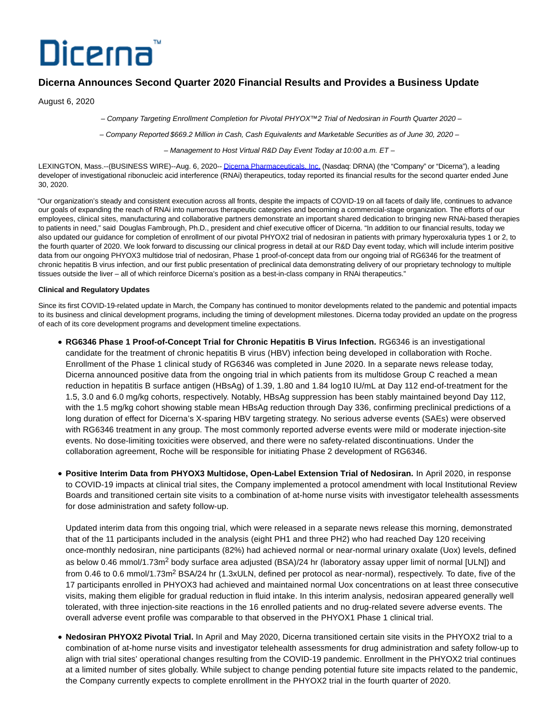# Dicerna<sup>®</sup>

# **Dicerna Announces Second Quarter 2020 Financial Results and Provides a Business Update**

August 6, 2020

– Company Targeting Enrollment Completion for Pivotal PHYOX™2 Trial of Nedosiran in Fourth Quarter 2020 –

– Company Reported \$669.2 Million in Cash, Cash Equivalents and Marketable Securities as of June 30, 2020 –

– Management to Host Virtual R&D Day Event Today at 10:00 a.m. ET –

LEXINGTON, Mass.--(BUSINESS WIRE)--Aug. 6, 2020-[- Dicerna Pharmaceuticals, Inc. \(](https://cts.businesswire.com/ct/CT?id=smartlink&url=http%3A%2F%2Fwww.dicerna.com&esheet=52262141&newsitemid=20200806005342&lan=en-US&anchor=Dicerna+Pharmaceuticals%2C+Inc.&index=1&md5=95a66b312d552cd34acbefb82c40b72c)Nasdaq: DRNA) (the "Company" or "Dicerna"), a leading developer of investigational ribonucleic acid interference (RNAi) therapeutics, today reported its financial results for the second quarter ended June 30, 2020.

"Our organization's steady and consistent execution across all fronts, despite the impacts of COVID-19 on all facets of daily life, continues to advance our goals of expanding the reach of RNAi into numerous therapeutic categories and becoming a commercial-stage organization. The efforts of our employees, clinical sites, manufacturing and collaborative partners demonstrate an important shared dedication to bringing new RNAi-based therapies to patients in need," said Douglas Fambrough, Ph.D., president and chief executive officer of Dicerna. "In addition to our financial results, today we also updated our guidance for completion of enrollment of our pivotal PHYOX2 trial of nedosiran in patients with primary hyperoxaluria types 1 or 2, to the fourth quarter of 2020. We look forward to discussing our clinical progress in detail at our R&D Day event today, which will include interim positive data from our ongoing PHYOX3 multidose trial of nedosiran, Phase 1 proof-of-concept data from our ongoing trial of RG6346 for the treatment of chronic hepatitis B virus infection, and our first public presentation of preclinical data demonstrating delivery of our proprietary technology to multiple tissues outside the liver – all of which reinforce Dicerna's position as a best-in-class company in RNAi therapeutics."

# **Clinical and Regulatory Updates**

Since its first COVID-19-related update in March, the Company has continued to monitor developments related to the pandemic and potential impacts to its business and clinical development programs, including the timing of development milestones. Dicerna today provided an update on the progress of each of its core development programs and development timeline expectations.

- **RG6346 Phase 1 Proof-of-Concept Trial for Chronic Hepatitis B Virus Infection. RG6346 is an investigational** candidate for the treatment of chronic hepatitis B virus (HBV) infection being developed in collaboration with Roche. Enrollment of the Phase 1 clinical study of RG6346 was completed in June 2020. In a separate news release today, Dicerna announced positive data from the ongoing trial in which patients from its multidose Group C reached a mean reduction in hepatitis B surface antigen (HBsAg) of 1.39, 1.80 and 1.84 log10 IU/mL at Day 112 end-of-treatment for the 1.5, 3.0 and 6.0 mg/kg cohorts, respectively. Notably, HBsAg suppression has been stably maintained beyond Day 112, with the 1.5 mg/kg cohort showing stable mean HBsAg reduction through Day 336, confirming preclinical predictions of a long duration of effect for Dicerna's X-sparing HBV targeting strategy. No serious adverse events (SAEs) were observed with RG6346 treatment in any group. The most commonly reported adverse events were mild or moderate injection-site events. No dose-limiting toxicities were observed, and there were no safety-related discontinuations. Under the collaboration agreement, Roche will be responsible for initiating Phase 2 development of RG6346.
- **Positive Interim Data from PHYOX3 Multidose, Open-Label Extension Trial of Nedosiran.** In April 2020, in response to COVID-19 impacts at clinical trial sites, the Company implemented a protocol amendment with local Institutional Review Boards and transitioned certain site visits to a combination of at-home nurse visits with investigator telehealth assessments for dose administration and safety follow-up.

Updated interim data from this ongoing trial, which were released in a separate news release this morning, demonstrated that of the 11 participants included in the analysis (eight PH1 and three PH2) who had reached Day 120 receiving once-monthly nedosiran, nine participants (82%) had achieved normal or near-normal urinary oxalate (Uox) levels, defined as below 0.46 mmol/1.73m<sup>2</sup> body surface area adjusted (BSA)/24 hr (laboratory assay upper limit of normal [ULN]) and from 0.46 to 0.6 mmol/1.73m<sup>2</sup> BSA/24 hr (1.3xULN, defined per protocol as near-normal), respectively. To date, five of the 17 participants enrolled in PHYOX3 had achieved and maintained normal Uox concentrations on at least three consecutive visits, making them eligible for gradual reduction in fluid intake. In this interim analysis, nedosiran appeared generally well tolerated, with three injection-site reactions in the 16 enrolled patients and no drug-related severe adverse events. The overall adverse event profile was comparable to that observed in the PHYOX1 Phase 1 clinical trial.

**Nedosiran PHYOX2 Pivotal Trial.** In April and May 2020, Dicerna transitioned certain site visits in the PHYOX2 trial to a combination of at-home nurse visits and investigator telehealth assessments for drug administration and safety follow-up to align with trial sites' operational changes resulting from the COVID-19 pandemic. Enrollment in the PHYOX2 trial continues at a limited number of sites globally. While subject to change pending potential future site impacts related to the pandemic, the Company currently expects to complete enrollment in the PHYOX2 trial in the fourth quarter of 2020.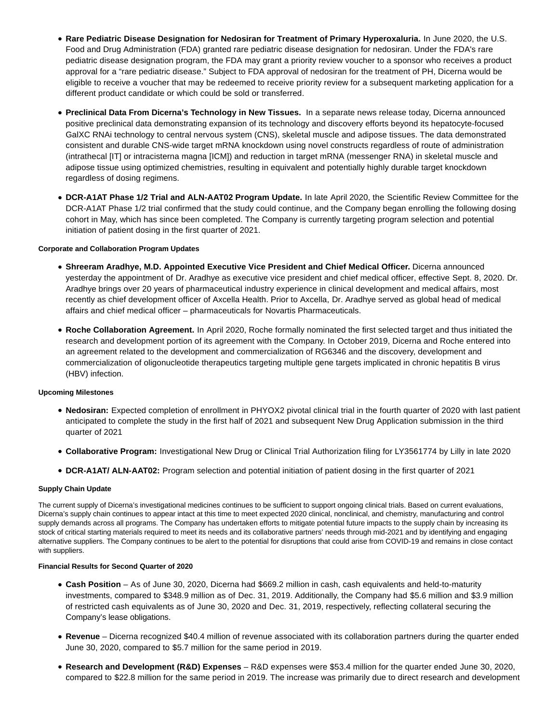- **Rare Pediatric Disease Designation for Nedosiran for Treatment of Primary Hyperoxaluria.** In June 2020, the U.S. Food and Drug Administration (FDA) granted rare pediatric disease designation for nedosiran. Under the FDA's rare pediatric disease designation program, the FDA may grant a priority review voucher to a sponsor who receives a product approval for a "rare pediatric disease." Subject to FDA approval of nedosiran for the treatment of PH, Dicerna would be eligible to receive a voucher that may be redeemed to receive priority review for a subsequent marketing application for a different product candidate or which could be sold or transferred.
- **Preclinical Data From Dicerna's Technology in New Tissues.** In a separate news release today, Dicerna announced positive preclinical data demonstrating expansion of its technology and discovery efforts beyond its hepatocyte-focused GalXC RNAi technology to central nervous system (CNS), skeletal muscle and adipose tissues. The data demonstrated consistent and durable CNS-wide target mRNA knockdown using novel constructs regardless of route of administration (intrathecal [IT] or intracisterna magna [ICM]) and reduction in target mRNA (messenger RNA) in skeletal muscle and adipose tissue using optimized chemistries, resulting in equivalent and potentially highly durable target knockdown regardless of dosing regimens.
- **DCR-A1AT Phase 1/2 Trial and ALN-AAT02 Program Update.** In late April 2020, the Scientific Review Committee for the DCR-A1AT Phase 1/2 trial confirmed that the study could continue, and the Company began enrolling the following dosing cohort in May, which has since been completed. The Company is currently targeting program selection and potential initiation of patient dosing in the first quarter of 2021.

# **Corporate and Collaboration Program Updates**

- **Shreeram Aradhye, M.D. Appointed Executive Vice President and Chief Medical Officer.** Dicerna announced yesterday the appointment of Dr. Aradhye as executive vice president and chief medical officer, effective Sept. 8, 2020. Dr. Aradhye brings over 20 years of pharmaceutical industry experience in clinical development and medical affairs, most recently as chief development officer of Axcella Health. Prior to Axcella, Dr. Aradhye served as global head of medical affairs and chief medical officer – pharmaceuticals for Novartis Pharmaceuticals.
- **Roche Collaboration Agreement.** In April 2020, Roche formally nominated the first selected target and thus initiated the research and development portion of its agreement with the Company. In October 2019, Dicerna and Roche entered into an agreement related to the development and commercialization of RG6346 and the discovery, development and commercialization of oligonucleotide therapeutics targeting multiple gene targets implicated in chronic hepatitis B virus (HBV) infection.

#### **Upcoming Milestones**

- **Nedosiran:** Expected completion of enrollment in PHYOX2 pivotal clinical trial in the fourth quarter of 2020 with last patient anticipated to complete the study in the first half of 2021 and subsequent New Drug Application submission in the third quarter of 2021
- **Collaborative Program:** Investigational New Drug or Clinical Trial Authorization filing for LY3561774 by Lilly in late 2020
- **DCR-A1AT/ ALN-AAT02:** Program selection and potential initiation of patient dosing in the first quarter of 2021

#### **Supply Chain Update**

The current supply of Dicerna's investigational medicines continues to be sufficient to support ongoing clinical trials. Based on current evaluations, Dicerna's supply chain continues to appear intact at this time to meet expected 2020 clinical, nonclinical, and chemistry, manufacturing and control supply demands across all programs. The Company has undertaken efforts to mitigate potential future impacts to the supply chain by increasing its stock of critical starting materials required to meet its needs and its collaborative partners' needs through mid-2021 and by identifying and engaging alternative suppliers. The Company continues to be alert to the potential for disruptions that could arise from COVID-19 and remains in close contact with suppliers.

### **Financial Results for Second Quarter of 2020**

- **Cash Position** As of June 30, 2020, Dicerna had \$669.2 million in cash, cash equivalents and held-to-maturity investments, compared to \$348.9 million as of Dec. 31, 2019. Additionally, the Company had \$5.6 million and \$3.9 million of restricted cash equivalents as of June 30, 2020 and Dec. 31, 2019, respectively, reflecting collateral securing the Company's lease obligations.
- **Revenue** Dicerna recognized \$40.4 million of revenue associated with its collaboration partners during the quarter ended June 30, 2020, compared to \$5.7 million for the same period in 2019.
- **Research and Development (R&D) Expenses** R&D expenses were \$53.4 million for the quarter ended June 30, 2020, compared to \$22.8 million for the same period in 2019. The increase was primarily due to direct research and development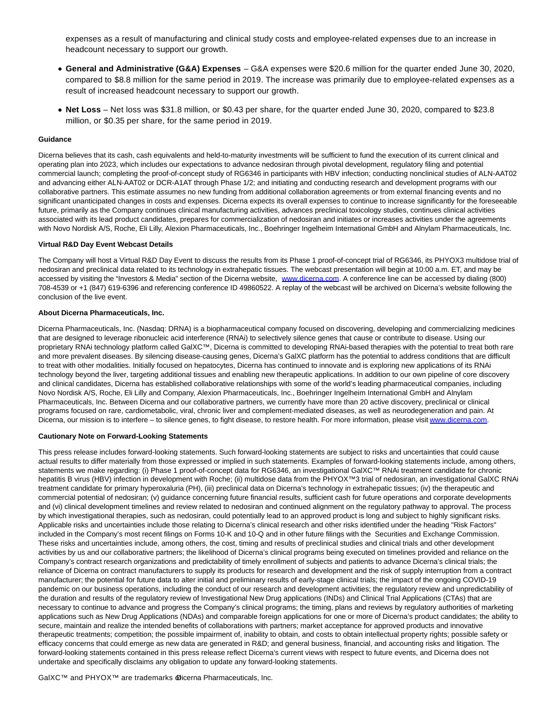expenses as a result of manufacturing and clinical study costs and employee-related expenses due to an increase in headcount necessary to support our growth.

- **General and Administrative (G&A) Expenses**  G&A expenses were \$20.6 million for the quarter ended June 30, 2020, compared to \$8.8 million for the same period in 2019. The increase was primarily due to employee-related expenses as a result of increased headcount necessary to support our growth.
- **Net Loss** Net loss was \$31.8 million, or \$0.43 per share, for the quarter ended June 30, 2020, compared to \$23.8 million, or \$0.35 per share, for the same period in 2019.

#### **Guidance**

Dicerna believes that its cash, cash equivalents and held-to-maturity investments will be sufficient to fund the execution of its current clinical and operating plan into 2023, which includes our expectations to advance nedosiran through pivotal development, regulatory filing and potential commercial launch; completing the proof-of-concept study of RG6346 in participants with HBV infection; conducting nonclinical studies of ALN-AAT02 and advancing either ALN-AAT02 or DCR-A1AT through Phase 1/2; and initiating and conducting research and development programs with our collaborative partners. This estimate assumes no new funding from additional collaboration agreements or from external financing events and no significant unanticipated changes in costs and expenses. Dicerna expects its overall expenses to continue to increase significantly for the foreseeable future, primarily as the Company continues clinical manufacturing activities, advances preclinical toxicology studies, continues clinical activities associated with its lead product candidates, prepares for commercialization of nedosiran and initiates or increases activities under the agreements with Novo Nordisk A/S, Roche, Eli Lilly, Alexion Pharmaceuticals, Inc., Boehringer Ingelheim International GmbH and Alnylam Pharmaceuticals, Inc.

#### **Virtual R&D Day Event Webcast Details**

The Company will host a Virtual R&D Day Event to discuss the results from its Phase 1 proof-of-concept trial of RG6346, its PHYOX3 multidose trial of nedosiran and preclinical data related to its technology in extrahepatic tissues. The webcast presentation will begin at 10:00 a.m. ET, and may be accessed by visiting the "Investors & Media" section of the Dicerna website, [www.dicerna.com.](https://cts.businesswire.com/ct/CT?id=smartlink&url=http%3A%2F%2Fwww.dicerna.com&esheet=52262141&newsitemid=20200806005342&lan=en-US&anchor=www.dicerna.com&index=2&md5=eca2b98a33f7e2e1f193af30ee651b18) A conference line can be accessed by dialing (800) 708-4539 or +1 (847) 619-6396 and referencing conference ID 49860522. A replay of the webcast will be archived on Dicerna's website following the conclusion of the live event.

#### **About Dicerna Pharmaceuticals, Inc.**

Dicerna Pharmaceuticals, Inc. (Nasdaq: DRNA) is a biopharmaceutical company focused on discovering, developing and commercializing medicines that are designed to leverage ribonucleic acid interference (RNAi) to selectively silence genes that cause or contribute to disease. Using our proprietary RNAi technology platform called GalXC™, Dicerna is committed to developing RNAi-based therapies with the potential to treat both rare and more prevalent diseases. By silencing disease-causing genes, Dicerna's GalXC platform has the potential to address conditions that are difficult to treat with other modalities. Initially focused on hepatocytes, Dicerna has continued to innovate and is exploring new applications of its RNAi technology beyond the liver, targeting additional tissues and enabling new therapeutic applications. In addition to our own pipeline of core discovery and clinical candidates, Dicerna has established collaborative relationships with some of the world's leading pharmaceutical companies, including Novo Nordisk A/S, Roche, Eli Lilly and Company, Alexion Pharmaceuticals, Inc., Boehringer Ingelheim International GmbH and Alnylam Pharmaceuticals, Inc. Between Dicerna and our collaborative partners, we currently have more than 20 active discovery, preclinical or clinical programs focused on rare, cardiometabolic, viral, chronic liver and complement-mediated diseases, as well as neurodegeneration and pain. At Dicerna, our mission is to interfere – to silence genes, to fight disease, to restore health. For more information, please visi[t www.dicerna.com.](https://cts.businesswire.com/ct/CT?id=smartlink&url=http%3A%2F%2Fwww.dicerna.com&esheet=52262141&newsitemid=20200806005342&lan=en-US&anchor=www.dicerna.com&index=3&md5=dc5af0431212b98c277b03202d32284f)

#### **Cautionary Note on Forward-Looking Statements**

This press release includes forward-looking statements. Such forward-looking statements are subject to risks and uncertainties that could cause actual results to differ materially from those expressed or implied in such statements. Examples of forward-looking statements include, among others, statements we make regarding: (i) Phase 1 proof-of-concept data for RG6346, an investigational GalXC™ RNAi treatment candidate for chronic hepatitis B virus (HBV) infection in development with Roche; (ii) multidose data from the PHYOX™3 trial of nedosiran, an investigational GalXC RNAi treatment candidate for primary hyperoxaluria (PH), (iii) preclinical data on Dicerna's technology in extrahepatic tissues; (iv) the therapeutic and commercial potential of nedosiran; (v) guidance concerning future financial results, sufficient cash for future operations and corporate developments and (vi) clinical development timelines and review related to nedosiran and continued alignment on the regulatory pathway to approval. The process by which investigational therapies, such as nedosiran, could potentially lead to an approved product is long and subject to highly significant risks. Applicable risks and uncertainties include those relating to Dicerna's clinical research and other risks identified under the heading "Risk Factors" included in the Company's most recent filings on Forms 10-K and 10-Q and in other future filings with the Securities and Exchange Commission. These risks and uncertainties include, among others, the cost, timing and results of preclinical studies and clinical trials and other development activities by us and our collaborative partners; the likelihood of Dicerna's clinical programs being executed on timelines provided and reliance on the Company's contract research organizations and predictability of timely enrollment of subjects and patients to advance Dicerna's clinical trials; the reliance of Dicerna on contract manufacturers to supply its products for research and development and the risk of supply interruption from a contract manufacturer; the potential for future data to alter initial and preliminary results of early-stage clinical trials; the impact of the ongoing COVID-19 pandemic on our business operations, including the conduct of our research and development activities; the regulatory review and unpredictability of the duration and results of the regulatory review of Investigational New Drug applications (INDs) and Clinical Trial Applications (CTAs) that are necessary to continue to advance and progress the Company's clinical programs; the timing, plans and reviews by regulatory authorities of marketing applications such as New Drug Applications (NDAs) and comparable foreign applications for one or more of Dicerna's product candidates; the ability to secure, maintain and realize the intended benefits of collaborations with partners; market acceptance for approved products and innovative therapeutic treatments; competition; the possible impairment of, inability to obtain, and costs to obtain intellectual property rights; possible safety or efficacy concerns that could emerge as new data are generated in R&D; and general business, financial, and accounting risks and litigation. The forward-looking statements contained in this press release reflect Dicerna's current views with respect to future events, and Dicerna does not undertake and specifically disclaims any obligation to update any forward-looking statements.

GalXC™ and PHYOX™ are trademarks @icerna Pharmaceuticals, Inc.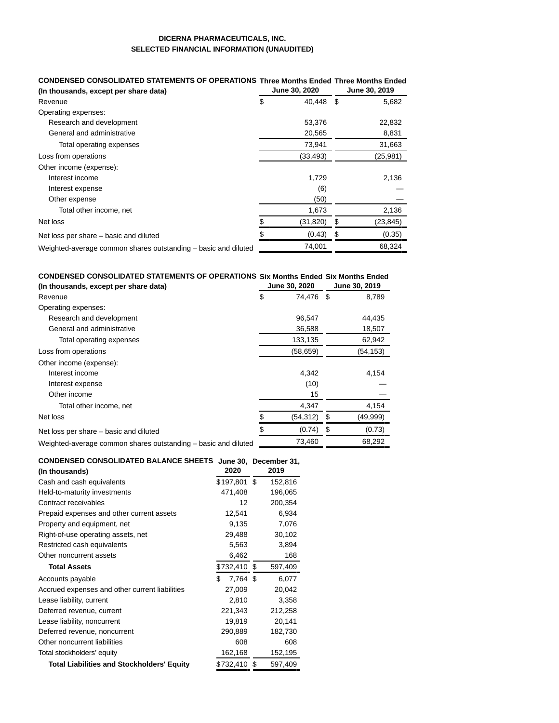# **DICERNA PHARMACEUTICALS, INC. SELECTED FINANCIAL INFORMATION (UNAUDITED)**

| CONDENSED CONSOLIDATED STATEMENTS OF OPERATIONS Three Months Ended Three Months Ended |   |               |               |           |  |
|---------------------------------------------------------------------------------------|---|---------------|---------------|-----------|--|
| (In thousands, except per share data)                                                 |   | June 30, 2020 | June 30, 2019 |           |  |
| Revenue                                                                               | S | 40,448 \$     |               | 5,682     |  |
| Operating expenses:                                                                   |   |               |               |           |  |
| Research and development                                                              |   | 53,376        |               | 22,832    |  |
| General and administrative                                                            |   | 20,565        |               | 8,831     |  |
| Total operating expenses                                                              |   | 73,941        |               | 31,663    |  |
| Loss from operations                                                                  |   | (33, 493)     |               | (25, 981) |  |
| Other income (expense):                                                               |   |               |               |           |  |
| Interest income                                                                       |   | 1,729         |               | 2,136     |  |
| Interest expense                                                                      |   | (6)           |               |           |  |
| Other expense                                                                         |   | (50)          |               |           |  |
| Total other income, net                                                               |   | 1,673         |               | 2,136     |  |
| Net loss                                                                              |   | (31, 820)     | \$            | (23,845)  |  |
| Net loss per share – basic and diluted                                                |   | (0.43)        | \$            | (0.35)    |  |
| Weighted-average common shares outstanding - basic and diluted                        |   | 74,001        |               | 68,324    |  |

# **CONDENSED CONSOLIDATED STATEMENTS OF OPERATIONS Six Months Ended Six Months Ended**

| (In thousands, except per share data)                          | June 30, 2020 |           | June 30, 2019 |           |
|----------------------------------------------------------------|---------------|-----------|---------------|-----------|
| Revenue                                                        | \$            | 74.476    | - \$          | 8,789     |
| Operating expenses:                                            |               |           |               |           |
| Research and development                                       |               | 96.547    |               | 44,435    |
| General and administrative                                     |               | 36,588    |               | 18,507    |
| Total operating expenses                                       |               | 133,135   |               | 62,942    |
| Loss from operations                                           |               | (58, 659) |               | (54, 153) |
| Other income (expense):                                        |               |           |               |           |
| Interest income                                                |               | 4,342     |               | 4,154     |
| Interest expense                                               |               | (10)      |               |           |
| Other income                                                   |               | 15        |               |           |
| Total other income, net                                        |               | 4,347     |               | 4,154     |
| Net loss                                                       |               | (54,312)  | S             | (49,999)  |
| Net loss per share – basic and diluted                         |               | (0.74)    | \$            | (0.73)    |
| Weighted-average common shares outstanding – basic and diluted |               | 73,460    |               | 68,292    |

#### **CONDENSED CONSOLIDATED BALANCE SHEETS June 30, December 31,**

| (In thousands)                                    | 2020           | 2019 |         |
|---------------------------------------------------|----------------|------|---------|
| Cash and cash equivalents                         | \$197,801 \$   |      | 152,816 |
| Held-to-maturity investments                      | 471,408        |      | 196,065 |
| Contract receivables                              | 12             |      | 200,354 |
| Prepaid expenses and other current assets         | 12,541         |      | 6,934   |
| Property and equipment, net                       | 9,135          |      | 7,076   |
| Right-of-use operating assets, net                | 29,488         |      | 30,102  |
| Restricted cash equivalents                       | 5,563          |      | 3,894   |
| Other noncurrent assets                           | 6,462          |      | 168     |
| <b>Total Assets</b>                               | \$732,410      | \$   | 597,409 |
| Accounts payable                                  | \$<br>7,764 \$ |      | 6,077   |
| Accrued expenses and other current liabilities    | 27,009         |      | 20,042  |
| Lease liability, current                          | 2,810          |      | 3,358   |
| Deferred revenue, current                         | 221,343        |      | 212,258 |
| Lease liability, noncurrent                       | 19,819         |      | 20,141  |
| Deferred revenue, noncurrent                      | 290,889        |      | 182,730 |
| Other noncurrent liabilities                      | 608            |      | 608     |
| Total stockholders' equity                        | 162,168        |      | 152,195 |
| <b>Total Liabilities and Stockholders' Equity</b> | \$732,410      | S    | 597,409 |